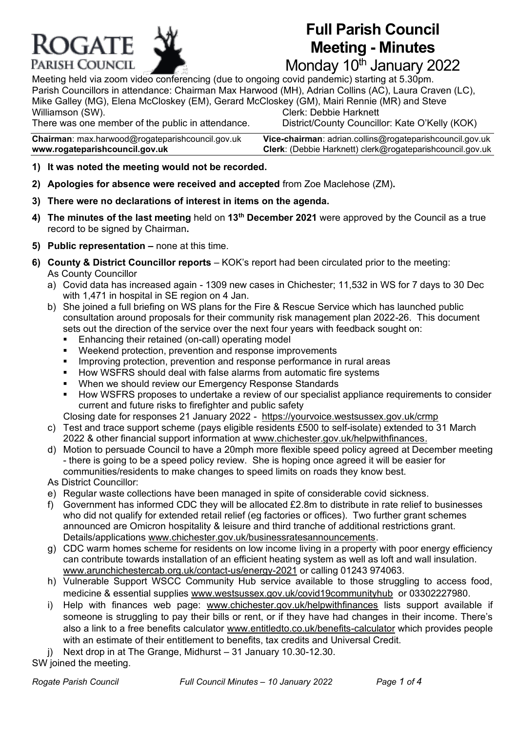

# **Full Parish Council Meeting - Minutes**

Monday 10<sup>th</sup> January 2022

Meeting held via zoom video conferencing (due to ongoing covid pandemic) starting at 5.30pm. Parish Councillors in attendance: Chairman Max Harwood (MH), Adrian Collins (AC), Laura Craven (LC), Mike Galley (MG), Elena McCloskey (EM), Gerard McCloskey (GM), Mairi Rennie (MR) and Steve Clerk: Debbie Harknett

There was one member of the public in attendance. District/County Councillor: Kate O'Kelly (KOK)

**www.rogateparishcouncil.gov.uk Clerk**: (Debbie Harknett) [clerk@rogateparishcouncil.gov.uk](mailto:clerk@rogateparishcouncil.gov.uk)

**Chairman**: max.harwoo[d@rogateparishcouncil.gov.uk](mailto:max.harwood@rogateparishcouncil.gov.uk) **Vice-chairman**: adrian.collins@rogateparishcouncil.gov.uk

- **1) It was noted the meeting would not be recorded.**
- **2) Apologies for absence were received and accepted** from Zoe Maclehose (ZM)**.**
- **3) There were no declarations of interest in items on the agenda.**
- **4) The minutes of the last meeting** held on **13th December 2021** were approved by the Council as a true record to be signed by Chairman**.**
- **5) Public representation –** none at this time.
- **6) County & District Councillor reports** KOK's report had been circulated prior to the meeting: As County Councillor
	- a) Covid data has increased again 1309 new cases in Chichester; 11,532 in WS for 7 days to 30 Dec with 1,471 in hospital in SE region on 4 Jan.
	- b) She joined a full briefing on WS plans for the Fire & Rescue Service which has launched public consultation around proposals for their community risk management plan 2022-26. This document sets out the direction of the service over the next four years with feedback sought on:
		- Enhancing their retained (on-call) operating model
		- Weekend protection, prevention and response improvements
		- **•** Improving protection, prevention and response performance in rural areas
		- How WSFRS should deal with false alarms from automatic fire systems
		- When we should review our Emergency Response Standards
		- How WSFRS proposes to undertake a review of our specialist appliance requirements to consider current and future risks to firefighter and public safety

Closing date for responses 21 January 2022 - <https://yourvoice.westsussex.gov.uk/crmp>

- c) Test and trace support scheme (pays eligible residents £500 to self-isolate) extended to 31 March 2022 & other financial support information at [www.chichester.gov.uk/helpwithfinances.](http://www.chichester.gov.uk/helpwithfinances)
- d) Motion to persuade Council to have a 20mph more flexible speed policy agreed at December meeting - there is going to be a speed policy review. She is hoping once agreed it will be easier for communities/residents to make changes to speed limits on roads they know best.

As District Councillor:

- e) Regular waste collections have been managed in spite of considerable covid sickness.
- f) Government has informed CDC they will be allocated £2.8m to distribute in rate relief to businesses who did not qualify for extended retail relief (eg factories or offices). Two further grant schemes announced are Omicron hospitality & leisure and third tranche of additional restrictions grant. Details/applications [www.chichester.gov.uk/businessratesannouncements.](http://www.chichester.gov.uk/businessratesannouncements)
- g) CDC warm homes scheme for residents on low income living in a property with poor energy efficiency can contribute towards installation of an efficient heating system as well as loft and wall insulation. [www.arunchichestercab.org.uk/contact-us/energy-2021](http://www.arunchichestercab.org.uk/contact-us/energy-2021) or calling 01243 974063.
- h) Vulnerable Support WSCC Community Hub service available to those struggling to access food, medicine & essential supplies [www.westsussex.gov.uk/covid19communityhub](http://www.westsussex.gov.uk/covid19communityhub) or 03302227980.
- i) Help with finances web page: [www.chichester.gov.uk/helpwithfinances](http://www.chichester.gov.uk/helpwithfinances) lists support available if someone is struggling to pay their bills or rent, or if they have had changes in their income. There's also a link to a free benefits calculator [www.entitledto.co.uk/benefits-calculator](http://www.entitledto.co.uk/benefits-calculator) which provides people with an estimate of their entitlement to benefits, tax credits and Universal Credit.
- j) Next drop in at The Grange, Midhurst 31 January 10.30-12.30.

SW joined the meeting.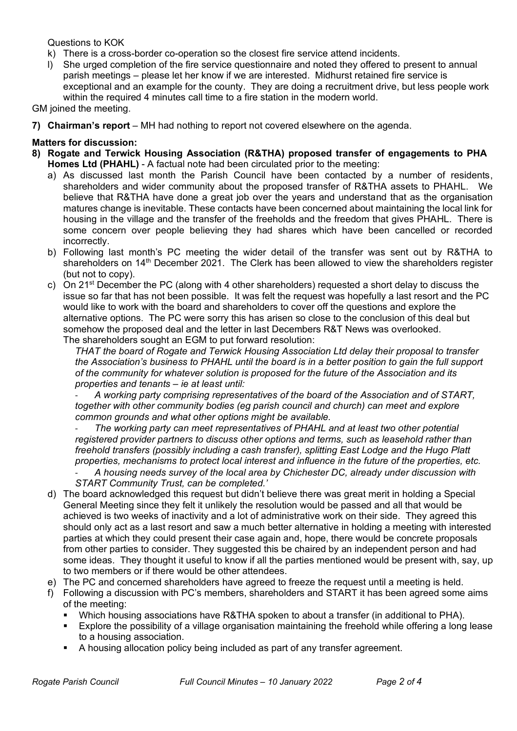Questions to KOK

- k) There is a cross-border co-operation so the closest fire service attend incidents.
- l) She urged completion of the fire service questionnaire and noted they offered to present to annual parish meetings – please let her know if we are interested. Midhurst retained fire service is exceptional and an example for the county. They are doing a recruitment drive, but less people work within the required 4 minutes call time to a fire station in the modern world.

GM joined the meeting.

**7) Chairman's report** – MH had nothing to report not covered elsewhere on the agenda.

### **Matters for discussion:**

- **8) Rogate and Terwick Housing Association (R&THA) proposed transfer of engagements to PHA Homes Ltd (PHAHL)** - A factual note had been circulated prior to the meeting:
	- a) As discussed last month the Parish Council have been contacted by a number of residents, shareholders and wider community about the proposed transfer of R&THA assets to PHAHL. We believe that R&THA have done a great job over the years and understand that as the organisation matures change is inevitable. These contacts have been concerned about maintaining the local link for housing in the village and the transfer of the freeholds and the freedom that gives PHAHL. There is some concern over people believing they had shares which have been cancelled or recorded incorrectly.
	- b) Following last month's PC meeting the wider detail of the transfer was sent out by R&THA to shareholders on 14<sup>th</sup> December 2021. The Clerk has been allowed to view the shareholders register (but not to copy).
	- c) On 21<sup>st</sup> December the PC (along with 4 other shareholders) requested a short delay to discuss the issue so far that has not been possible. It was felt the request was hopefully a last resort and the PC would like to work with the board and shareholders to cover off the questions and explore the alternative options. The PC were sorry this has arisen so close to the conclusion of this deal but somehow the proposed deal and the letter in last Decembers R&T News was overlooked. The shareholders sought an EGM to put forward resolution:

*THAT the board of Rogate and Terwick Housing Association Ltd delay their proposal to transfer* the Association's business to PHAHL until the board is in a better position to gain the full support *of the community for whatever solution is proposed for the future of the Association and its properties and tenants – ie at least until:*

- *A working party comprising representatives of the board of the Association and of START, together with other community bodies (eg parish council and church) can meet and explore common grounds and what other options might be available.*

- *The working party can meet representatives of PHAHL and at least two other potential registered provider partners to discuss other options and terms, such as leasehold rather than freehold transfers (possibly including a cash transfer), splitting East Lodge and the Hugo Platt properties, mechanisms to protect local interest and influence in the future of the properties, etc.*

- *A housing needs survey of the local area by Chichester DC, already under discussion with START Community Trust, can be completed.'*

- d) The board acknowledged this request but didn't believe there was great merit in holding a Special General Meeting since they felt it unlikely the resolution would be passed and all that would be achieved is two weeks of inactivity and a lot of administrative work on their side. They agreed this should only act as a last resort and saw a much better alternative in holding a meeting with interested parties at which they could present their case again and, hope, there would be concrete proposals from other parties to consider. They suggested this be chaired by an independent person and had some ideas. They thought it useful to know if all the parties mentioned would be present with, say, up to two members or if there would be other attendees.
- e) The PC and concerned shareholders have agreed to freeze the request until a meeting is held.
- f) Following a discussion with PC's members, shareholders and START it has been agreed some aims of the meeting:
	- Which housing associations have R&THA spoken to about a transfer (in additional to PHA).
	- Explore the possibility of a village organisation maintaining the freehold while offering a long lease to a housing association.
	- A housing allocation policy being included as part of any transfer agreement.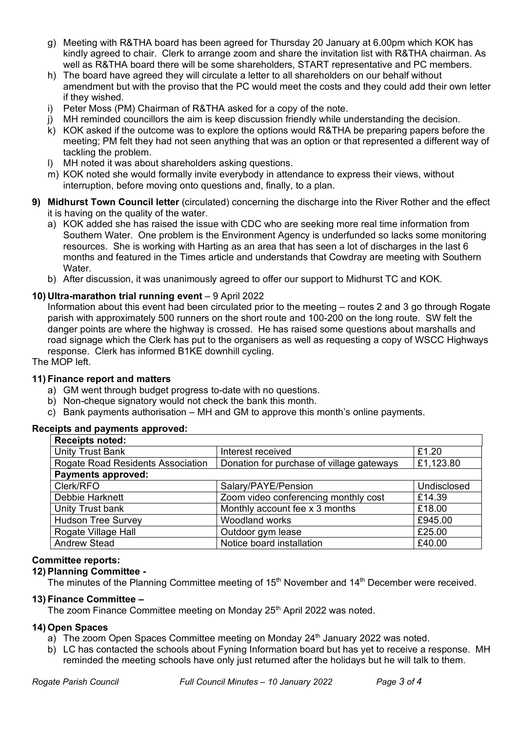- g) Meeting with R&THA board has been agreed for Thursday 20 January at 6.00pm which KOK has kindly agreed to chair. Clerk to arrange zoom and share the invitation list with R&THA chairman. As well as R&THA board there will be some shareholders, START representative and PC members.
- h) The board have agreed they will circulate a letter to all shareholders on our behalf without amendment but with the proviso that the PC would meet the costs and they could add their own letter if they wished.
- i) Peter Moss (PM) Chairman of R&THA asked for a copy of the note.
- j) MH reminded councillors the aim is keep discussion friendly while understanding the decision.
- $k$ ) KOK asked if the outcome was to explore the options would R&THA be preparing papers before the meeting; PM felt they had not seen anything that was an option or that represented a different way of tackling the problem.
- l) MH noted it was about shareholders asking questions.
- m) KOK noted she would formally invite everybody in attendance to express their views, without interruption, before moving onto questions and, finally, to a plan.
- **9) Midhurst Town Council letter** (circulated) concerning the discharge into the River Rother and the effect it is having on the quality of the water.
	- a) KOK added she has raised the issue with CDC who are seeking more real time information from Southern Water. One problem is the Environment Agency is underfunded so lacks some monitoring resources. She is working with Harting as an area that has seen a lot of discharges in the last 6 months and featured in the Times article and understands that Cowdray are meeting with Southern Water
	- b) After discussion, it was unanimously agreed to offer our support to Midhurst TC and KOK.

#### **10) Ultra-marathon trial running event** – 9 April 2022

Information about this event had been circulated prior to the meeting – routes 2 and 3 go through Rogate parish with approximately 500 runners on the short route and 100-200 on the long route. SW felt the danger points are where the highway is crossed. He has raised some questions about marshalls and road signage which the Clerk has put to the organisers as well as requesting a copy of WSCC Highways response. Clerk has informed B1KE downhill cycling.

The MOP left.

#### **11) Finance report and matters**

- a) GM went through budget progress to-date with no questions.
- b) Non-cheque signatory would not check the bank this month.
- c) Bank payments authorisation MH and GM to approve this month's online payments.

#### **Receipts and payments approved:**

| <b>Receipts noted:</b>            |                                           |             |
|-----------------------------------|-------------------------------------------|-------------|
| Unity Trust Bank                  | Interest received                         | £1.20       |
| Rogate Road Residents Association | Donation for purchase of village gateways | £1,123.80   |
| <b>Payments approved:</b>         |                                           |             |
| Clerk/RFO                         | Salary/PAYE/Pension                       | Undisclosed |
| Debbie Harknett                   | Zoom video conferencing monthly cost      | £14.39      |
| Unity Trust bank                  | Monthly account fee x 3 months            | £18.00      |
| <b>Hudson Tree Survey</b>         | Woodland works                            | £945.00     |
| Rogate Village Hall               | Outdoor gym lease                         | £25.00      |
| <b>Andrew Stead</b>               | Notice board installation                 | £40.00      |

#### **Committee reports:**

#### **12) Planning Committee -**

The minutes of the Planning Committee meeting of 15<sup>th</sup> November and 14<sup>th</sup> December were received.

#### **13) Finance Committee –**

The zoom Finance Committee meeting on Monday 25<sup>th</sup> April 2022 was noted.

#### **14) Open Spaces**

- a) The zoom Open Spaces Committee meeting on Monday  $24<sup>th</sup>$  January 2022 was noted.
- b) LC has contacted the schools about Fyning Information board but has yet to receive a response. MH reminded the meeting schools have only just returned after the holidays but he will talk to them.